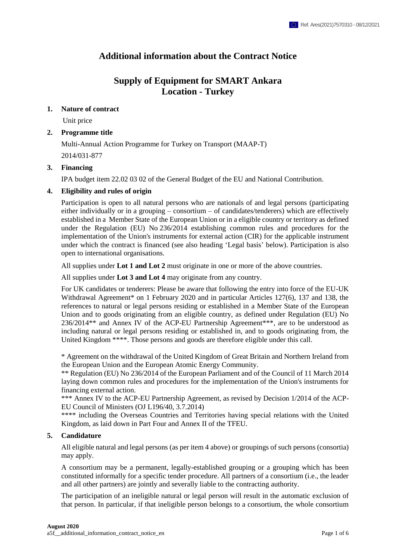# **Additional information about the Contract Notice**

# **Supply of Equipment for SMART Ankara Location - Turkey**

### **1. Nature of contract**

Unit price

### **2. Programme title**

Multi-Annual Action Programme for Turkey on Transport (MAAP-T) 2014/031-877

### **3. Financing**

IPA budget item 22.02 03 02 of the General Budget of the EU and National Contribution.

### **4. Eligibility and rules of origin**

Participation is open to all natural persons who are nationals of and legal persons (participating either individually or in a grouping – consortium – of candidates/tenderers) which are effectively established in a Member State of the European Union or in a eligible country or territory as defined under the Regulation (EU) No 236/2014 establishing common rules and procedures for the implementation of the Union's instruments for external action (CIR) for the applicable instrument under which the contract is financed (see also heading 'Legal basis' below). Participation is also open to international organisations.

All supplies under **Lot 1 and Lot 2** must originate in one or more of the above countries.

All supplies under **Lot 3 and Lot 4** may originate from any country.

For UK candidates or tenderers: Please be aware that following the entry into force of the EU-UK Withdrawal Agreement\* on 1 February 2020 and in particular Articles 127(6), 137 and 138, the references to natural or legal persons residing or established in a Member State of the European Union and to goods originating from an eligible country, as defined under Regulation (EU) No 236/2014\*\* and Annex IV of the ACP-EU Partnership Agreement\*\*\*, are to be understood as including natural or legal persons residing or established in, and to goods originating from, the United Kingdom \*\*\*\*. Those persons and goods are therefore eligible under this call.

\* Agreement on the withdrawal of the United Kingdom of Great Britain and Northern Ireland from the European Union and the European Atomic Energy Community.

\*\* Regulation (EU) No 236/2014 of the European Parliament and of the Council of 11 March 2014 laying down common rules and procedures for the implementation of the Union's instruments for financing external action.

\*\*\* Annex IV to the ACP-EU Partnership Agreement, as revised by Decision 1/2014 of the ACP-EU Council of Ministers (OJ L196/40, 3.7.2014)

\*\*\*\* including the Overseas Countries and Territories having special relations with the United Kingdom, as laid down in Part Four and Annex II of the TFEU.

# **5. Candidature**

All eligible natural and legal persons (as per item 4 above) or groupings of such persons (consortia) may apply.

A consortium may be a permanent, legally-established grouping or a grouping which has been constituted informally for a specific tender procedure. All partners of a consortium (i.e., the leader and all other partners) are jointly and severally liable to the contracting authority.

The participation of an ineligible natural or legal person will result in the automatic exclusion of that person. In particular, if that ineligible person belongs to a consortium, the whole consortium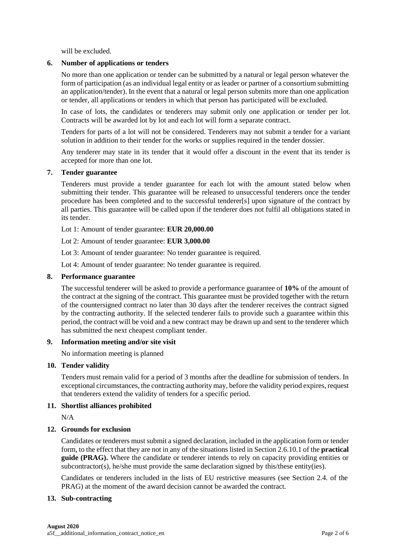will be excluded.

### **6. Number of applications or tenders**

No more than one application or tender can be submitted by a natural or legal person whatever the form of participation (as an individual legal entity or as leader or partner of a consortium submitting an application/tender). In the event that a natural or legal person submits more than one application or tender, all applications or tenders in which that person has participated will be excluded.

In case of lots, the candidates or tenderers may submit only one application or tender per lot. Contracts will be awarded lot by lot and each lot will form a separate contract.

Tenders for parts of a lot will not be considered. Tenderers may not submit a tender for a variant solution in addition to their tender for the works or supplies required in the tender dossier.

Any tenderer may state in its tender that it would offer a discount in the event that its tender is accepted for more than one lot.

#### **7. Tender guarantee**

Tenderers must provide a tender guarantee for each lot with the amount stated below when submitting their tender. This guarantee will be released to unsuccessful tenderers once the tender procedure has been completed and to the successful tenderer[s] upon signature of the contract by all parties. This guarantee will be called upon if the tenderer does not fulfil all obligations stated in its tender.

Lot 1: Amount of tender guarantee: **EUR 20,000.00**

Lot 2: Amount of tender guarantee: **EUR 3,000.00**

Lot 3: Amount of tender guarantee: No tender guarantee is required.

Lot 4: Amount of tender guarantee: No tender guarantee is required.

#### **8. Performance guarantee**

The successful tenderer will be asked to provide a performance guarantee of **10%** of the amount of the contract at the signing of the contract. This guarantee must be provided together with the return of the countersigned contract no later than 30 days after the tenderer receives the contract signed by the contracting authority. If the selected tenderer fails to provide such a guarantee within this period, the contract will be void and a new contract may be drawn up and sent to the tenderer which has submitted the next cheapest compliant tender.

#### **9. Information meeting and/or site visit**

No information meeting is planned

#### **10. Tender validity**

Tenders must remain valid for a period of 3 months after the deadline for submission of tenders. In exceptional circumstances, the contracting authority may, before the validity period expires, request that tenderers extend the validity of tenders for a specific period.

#### **11. Shortlist alliances prohibited**

N/A

#### **12. Grounds for exclusion**

Candidates or tenderers must submit a signed declaration, included in the application form or tender form, to the effect that they are not in any of the situations listed in Section 2.6.10.1 of the **practical guide (PRAG).** Where the candidate or tenderer intends to rely on capacity providing entities or subcontractor(s), he/she must provide the same declaration signed by this/these entity(ies).

Candidates or tenderers included in the lists of EU restrictive measures (see Section 2.4. of the PRAG) at the moment of the award decision cannot be awarded the contract.

#### **13. Sub-contracting**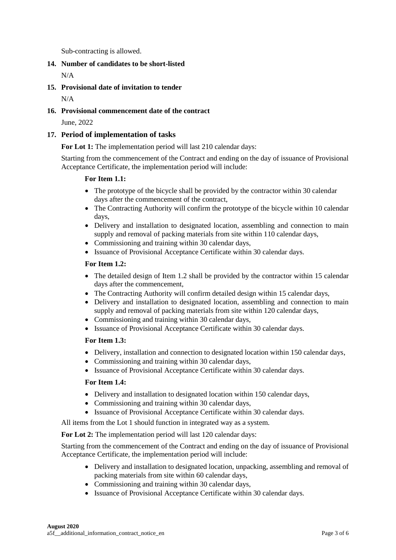Sub-contracting is allowed.

# **14. Number of candidates to be short-listed**

N/A

**15. Provisional date of invitation to tender** 

 $N/\Delta$ 

# **16. Provisional commencement date of the contract**

June, 2022

# **17. Period of implementation of tasks**

**For Lot 1:** The implementation period will last 210 calendar days:

Starting from the commencement of the Contract and ending on the day of issuance of Provisional Acceptance Certificate, the implementation period will include:

# **For Item 1.1:**

- The prototype of the bicycle shall be provided by the contractor within 30 calendar days after the commencement of the contract,
- The Contracting Authority will confirm the prototype of the bicycle within 10 calendar days,
- Delivery and installation to designated location, assembling and connection to main supply and removal of packing materials from site within 110 calendar days,
- Commissioning and training within 30 calendar days,
- Issuance of Provisional Acceptance Certificate within 30 calendar days.

### **For Item 1.2:**

- The detailed design of Item 1.2 shall be provided by the contractor within 15 calendar days after the commencement,
- The Contracting Authority will confirm detailed design within 15 calendar days,
- Delivery and installation to designated location, assembling and connection to main supply and removal of packing materials from site within 120 calendar days,
- Commissioning and training within 30 calendar days,
- Issuance of Provisional Acceptance Certificate within 30 calendar days.

#### **For Item 1.3:**

- Delivery, installation and connection to designated location within 150 calendar days,
- Commissioning and training within 30 calendar days,
- Issuance of Provisional Acceptance Certificate within 30 calendar days.

# **For Item 1.4:**

- Delivery and installation to designated location within 150 calendar days,
- Commissioning and training within 30 calendar days,
- Issuance of Provisional Acceptance Certificate within 30 calendar days.

All items from the Lot 1 should function in integrated way as a system.

**For Lot 2:** The implementation period will last 120 calendar days:

Starting from the commencement of the Contract and ending on the day of issuance of Provisional Acceptance Certificate, the implementation period will include:

- Delivery and installation to designated location, unpacking, assembling and removal of packing materials from site within 60 calendar days,
- Commissioning and training within 30 calendar days,
- Issuance of Provisional Acceptance Certificate within 30 calendar days.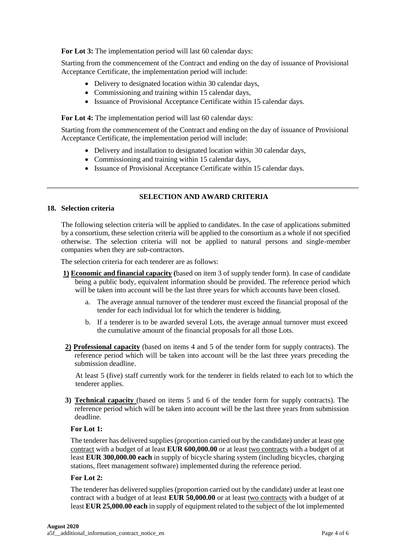**For Lot 3:** The implementation period will last 60 calendar days:

Starting from the commencement of the Contract and ending on the day of issuance of Provisional Acceptance Certificate, the implementation period will include:

- Delivery to designated location within 30 calendar days,
- Commissioning and training within 15 calendar days,
- Issuance of Provisional Acceptance Certificate within 15 calendar days.

**For Lot 4:** The implementation period will last 60 calendar days:

Starting from the commencement of the Contract and ending on the day of issuance of Provisional Acceptance Certificate, the implementation period will include:

- Delivery and installation to designated location within 30 calendar days,
- Commissioning and training within 15 calendar days,
- Issuance of Provisional Acceptance Certificate within 15 calendar days.

### **SELECTION AND AWARD CRITERIA**

#### **18. Selection criteria**

The following selection criteria will be applied to candidates. In the case of applications submitted by a consortium, these selection criteria will be applied to the consortium as a whole if not specified otherwise. The selection criteria will not be applied to natural persons and single-member companies when they are sub-contractors.

The selection criteria for each tenderer are as follows:

- **1) Economic and financial capacity (**based on item 3 of supply tender form). In case of candidate being a public body, equivalent information should be provided. The reference period which will be taken into account will be the last three years for which accounts have been closed.
	- a. The average annual turnover of the tenderer must exceed the financial proposal of the tender for each individual lot for which the tenderer is bidding.
	- b. If a tenderer is to be awarded several Lots, the average annual turnover must exceed the cumulative amount of the financial proposals for all those Lots.
- **2) Professional capacity** (based on items 4 and 5 of the tender form for supply contracts). The reference period which will be taken into account will be the last three years preceding the submission deadline.

At least 5 (five) staff currently work for the tenderer in fields related to each lot to which the tenderer applies.

**3) Technical capacity** (based on items 5 and 6 of the tender form for supply contracts). The reference period which will be taken into account will be the last three years from submission deadline.

#### **For Lot 1:**

The tenderer has delivered supplies (proportion carried out by the candidate) under at least one contract with a budget of at least **EUR 600,000.00** or at least two contracts with a budget of at least **EUR 300,000.00 each** in supply of bicycle sharing system (including bicycles, charging stations, fleet management software) implemented during the reference period.

#### **For Lot 2:**

The tenderer has delivered supplies (proportion carried out by the candidate) under at least one contract with a budget of at least **EUR 50,000.00** or at least two contracts with a budget of at least **EUR 25,000.00 each** in supply of equipment related to the subject of the lot implemented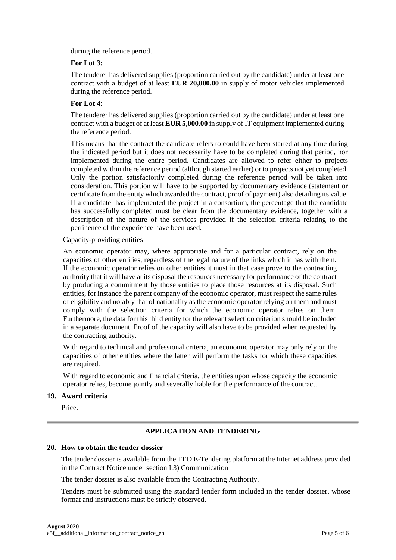during the reference period.

### **For Lot 3:**

The tenderer has delivered supplies (proportion carried out by the candidate) under at least one contract with a budget of at least **EUR 20,000.00** in supply of motor vehicles implemented during the reference period.

### **For Lot 4:**

The tenderer has delivered supplies (proportion carried out by the candidate) under at least one contract with a budget of at least **EUR 5,000.00** in supply of IT equipment implemented during the reference period.

This means that the contract the candidate refers to could have been started at any time during the indicated period but it does not necessarily have to be completed during that period, nor implemented during the entire period. Candidates are allowed to refer either to projects completed within the reference period (although started earlier) or to projects not yet completed. Only the portion satisfactorily completed during the reference period will be taken into consideration. This portion will have to be supported by documentary evidence (statement or certificate from the entity which awarded the contract, proof of payment) also detailing its value. If a candidate has implemented the project in a consortium, the percentage that the candidate has successfully completed must be clear from the documentary evidence, together with a description of the nature of the services provided if the selection criteria relating to the pertinence of the experience have been used.

#### Capacity-providing entities

An economic operator may, where appropriate and for a particular contract, rely on the capacities of other entities, regardless of the legal nature of the links which it has with them. If the economic operator relies on other entities it must in that case prove to the contracting authority that it will have at its disposal the resources necessary for performance of the contract by producing a commitment by those entities to place those resources at its disposal. Such entities, for instance the parent company of the economic operator, must respect the same rules of eligibility and notably that of nationality as the economic operator relying on them and must comply with the selection criteria for which the economic operator relies on them. Furthermore, the data for this third entity for the relevant selection criterion should be included in a separate document. Proof of the capacity will also have to be provided when requested by the contracting authority.

With regard to technical and professional criteria, an economic operator may only rely on the capacities of other entities where the latter will perform the tasks for which these capacities are required.

With regard to economic and financial criteria, the entities upon whose capacity the economic operator relies, become jointly and severally liable for the performance of the contract.

#### **19. Award criteria**

Price.

# **APPLICATION AND TENDERING**

### **20. How to obtain the tender dossier**

The tender dossier is available from the TED E-Tendering platform at the Internet address provided in the Contract Notice under section I.3) Communication

The tender dossier is also available from the Contracting Authority.

Tenders must be submitted using the standard tender form included in the tender dossier, whose format and instructions must be strictly observed.